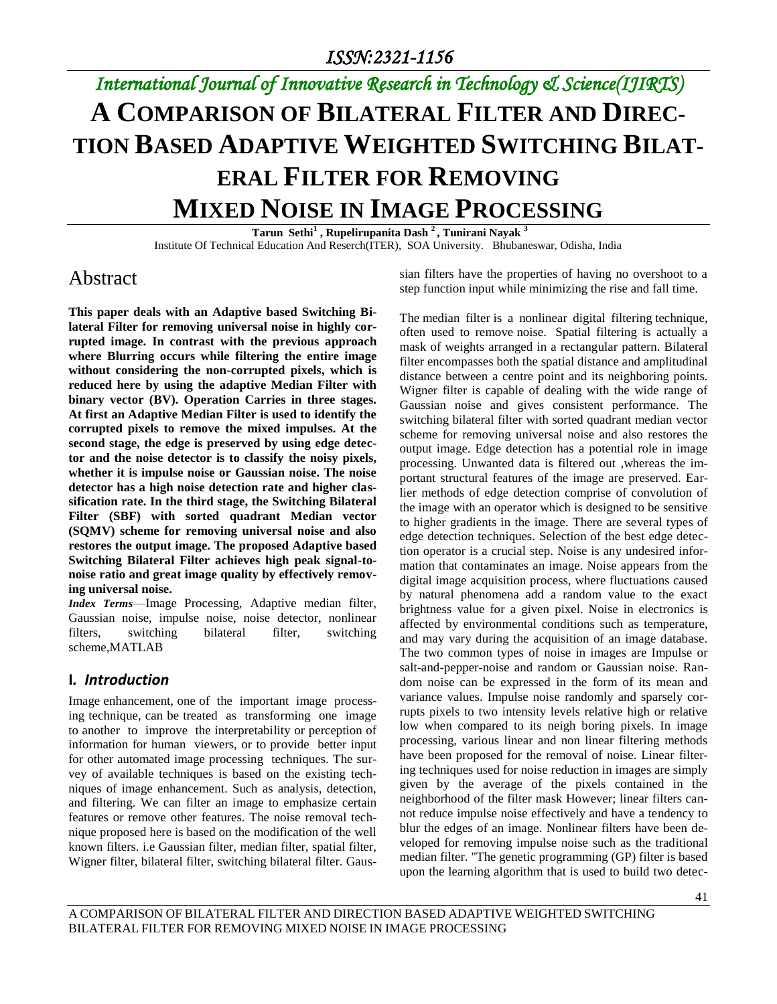# *International Journal of Innovative Research in Technology & Science(IJIRTS)* **A COMPARISON OF BILATERAL FILTER AND DIREC-TION BASED ADAPTIVE WEIGHTED SWITCHING BILAT-ERAL FILTER FOR REMOVING MIXED NOISE IN IMAGE PROCESSING**

**Tarun Sethi<sup>1</sup> , Rupelirupanita Dash <sup>2</sup>, Tunirani Nayak <sup>3</sup>** Institute Of Technical Education And Reserch(ITER), SOA University. Bhubaneswar, Odisha, India

## Abstract

**This paper deals with an Adaptive based Switching Bilateral Filter for removing universal noise in highly corrupted image. In contrast with the previous approach where Blurring occurs while filtering the entire image without considering the non-corrupted pixels, which is reduced here by using the adaptive Median Filter with binary vector (BV). Operation Carries in three stages. At first an Adaptive Median Filter is used to identify the corrupted pixels to remove the mixed impulses. At the second stage, the edge is preserved by using edge detector and the noise detector is to classify the noisy pixels, whether it is impulse noise or Gaussian noise. The noise detector has a high noise detection rate and higher classification rate. In the third stage, the Switching Bilateral Filter (SBF) with sorted quadrant Median vector (SQMV) scheme for removing universal noise and also restores the output image. The proposed Adaptive based Switching Bilateral Filter achieves high peak signal-tonoise ratio and great image quality by effectively removing universal noise.**

*Index Terms*—Image Processing, Adaptive median filter, Gaussian noise, impulse noise, noise detector, nonlinear filters, switching bilateral filter, switching scheme,MATLAB

#### **I***. Introduction*

Image enhancement, one of the important image processing technique, can be treated as transforming one image to another to improve the interpretability or perception of information for human viewers, or to provide better input for other automated image processing techniques. The survey of available techniques is based on the existing techniques of image enhancement. Such as analysis, detection, and filtering. We can filter an image to emphasize certain features or remove other features. The noise removal technique proposed here is based on the modification of the well known filters. i.e Gaussian filter, median filter, spatial filter, Wigner filter, bilateral filter, switching bilateral filter. Gaussian filters have the properties of having no overshoot to a step function input while minimizing the rise and fall time.

The median filter is a nonlinear digital filtering technique, often used to remove noise. Spatial filtering is actually a mask of weights arranged in a rectangular pattern. Bilateral filter encompasses both the spatial distance and amplitudinal distance between a centre point and its neighboring points. Wigner filter is capable of dealing with the wide range of Gaussian noise and gives consistent performance. The switching bilateral filter with sorted quadrant median vector scheme for removing universal noise and also restores the output image. Edge detection has a potential role in image processing. Unwanted data is filtered out ,whereas the important structural features of the image are preserved. Earlier methods of edge detection comprise of convolution of the image with an operator which is designed to be sensitive to higher gradients in the image. There are several types of edge detection techniques. Selection of the best edge detection operator is a crucial step. Noise is any undesired information that contaminates an image. Noise appears from the digital image acquisition process, where fluctuations caused by natural phenomena add a random value to the exact brightness value for a given pixel. Noise in electronics is affected by environmental conditions such as temperature, and may vary during the acquisition of an image database. The two common types of noise in images are Impulse or salt-and-pepper-noise and random or Gaussian noise. Random noise can be expressed in the form of its mean and variance values. Impulse noise randomly and sparsely corrupts pixels to two intensity levels relative high or relative low when compared to its neigh boring pixels. In image processing, various linear and non linear filtering methods have been proposed for the removal of noise. Linear filtering techniques used for noise reduction in images are simply given by the average of the pixels contained in the neighborhood of the filter mask However; linear filters cannot reduce impulse noise effectively and have a tendency to blur the edges of an image. Nonlinear filters have been developed for removing impulse noise such as the traditional median filter. "The genetic programming (GP) filter is based upon the learning algorithm that is used to build two detec-

A COMPARISON OF BILATERAL FILTER AND DIRECTION BASED ADAPTIVE WEIGHTED SWITCHING BILATERAL FILTER FOR REMOVING MIXED NOISE IN IMAGE PROCESSING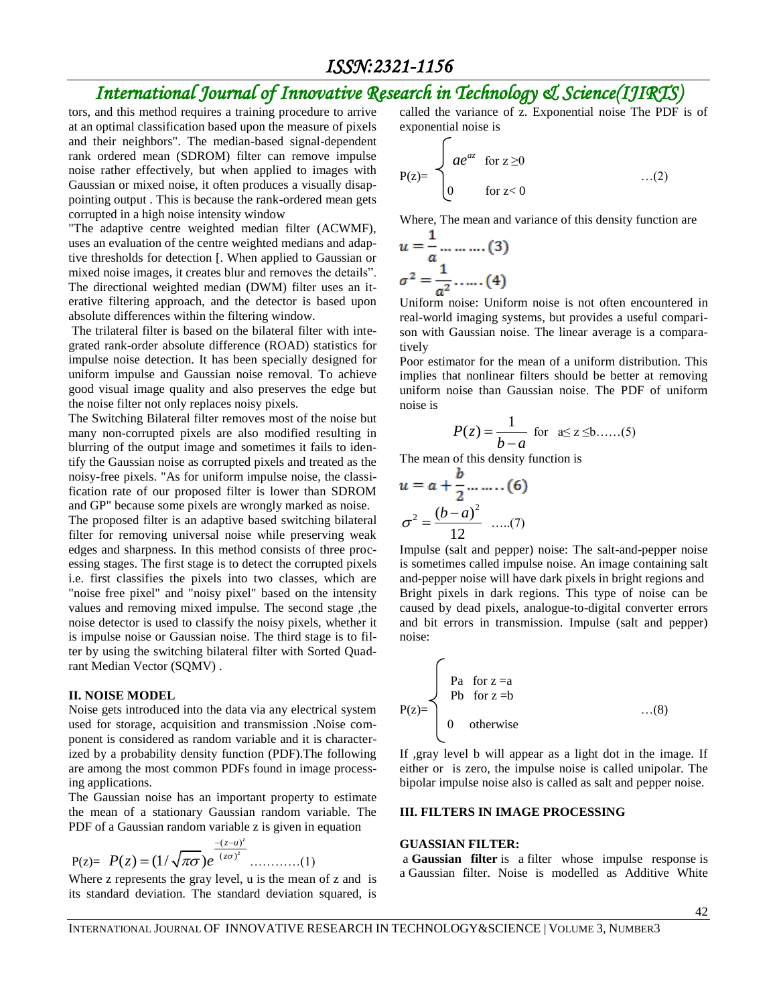# *International Journal of Innovative Research in Technology & Science(IJIRTS)*

tors, and this method requires a training procedure to arrive at an optimal classification based upon the measure of pixels and their neighbors". The median-based signal-dependent rank ordered mean (SDROM) filter can remove impulse noise rather effectively, but when applied to images with Gaussian or mixed noise, it often produces a visually disappointing output . This is because the rank-ordered mean gets corrupted in a high noise intensity window

"The adaptive centre weighted median filter (ACWMF), uses an evaluation of the centre weighted medians and adaptive thresholds for detection [. When applied to Gaussian or mixed noise images, it creates blur and removes the details". The directional weighted median (DWM) filter uses an iterative filtering approach, and the detector is based upon absolute differences within the filtering window.

The trilateral filter is based on the bilateral filter with integrated rank-order absolute difference (ROAD) statistics for impulse noise detection. It has been specially designed for uniform impulse and Gaussian noise removal. To achieve good visual image quality and also preserves the edge but the noise filter not only replaces noisy pixels.

The Switching Bilateral filter removes most of the noise but many non-corrupted pixels are also modified resulting in blurring of the output image and sometimes it fails to identify the Gaussian noise as corrupted pixels and treated as the noisy-free pixels. "As for uniform impulse noise, the classification rate of our proposed filter is lower than SDROM and GP" because some pixels are wrongly marked as noise.

The proposed filter is an adaptive based switching bilateral filter for removing universal noise while preserving weak edges and sharpness. In this method consists of three processing stages. The first stage is to detect the corrupted pixels i.e. first classifies the pixels into two classes, which are "noise free pixel" and "noisy pixel" based on the intensity values and removing mixed impulse. The second stage ,the noise detector is used to classify the noisy pixels, whether it is impulse noise or Gaussian noise. The third stage is to filter by using the switching bilateral filter with Sorted Quadrant Median Vector (SQMV) .

#### **II. NOISE MODEL**

Noise gets introduced into the data via any electrical system used for storage, acquisition and transmission .Noise component is considered as random variable and it is characterized by a probability density function (PDF).The following are among the most common PDFs found in image processing applications.

The Gaussian noise has an important property to estimate the mean of a stationary Gaussian random variable. The PDF of a Gaussian random variable z is given in equation

$$
P(z) = P(z) = (1/\sqrt{\pi \sigma})e^{-\frac{-(z-u)^{z}}{(z\sigma)^{z}}}
$$
............(1)

Where z represents the gray level, u is the mean of z and is its standard deviation. The standard deviation squared, is called the variance of z. Exponential noise The PDF is of exponential noise is

$$
P(z)=\begin{cases}\nae^{az} & \text{for } z \geq 0 \\
0 & \text{for } z < 0\n\end{cases} \tag{2}
$$

Where, The mean and variance of this density function are

$$
u = \frac{1}{a} \dots \dots \dots (3)
$$

$$
\sigma^2 = \frac{1}{a^2} \dots \dots (4)
$$

Uniform noise: Uniform noise is not often encountered in real-world imaging systems, but provides a useful comparison with Gaussian noise. The linear average is a comparatively

Poor estimator for the mean of a uniform distribution. This implies that nonlinear filters should be better at removing uniform noise than Gaussian noise. The PDF of uniform noise is

$$
P(z) = \frac{1}{b-a} \text{ for } a \le z \le b \dots (5)
$$

The mean of this density function is

$$
u = a + \frac{b}{2} \dots \dots (6)
$$

$$
\sigma^{2} = \frac{(b-a)^{2}}{12} \dots (7)
$$

τ.

Impulse (salt and pepper) noise: The salt-and-pepper noise is sometimes called impulse noise. An image containing salt and-pepper noise will have dark pixels in bright regions and Bright pixels in dark regions. This type of noise can be caused by dead pixels, analogue-to-digital converter errors and bit errors in transmission. Impulse (salt and pepper) noise:

$$
P(z) = \begin{cases} \text{ Pa} & \text{for } z = a \\ \text{ Pb} & \text{for } z = b \\ 0 & \text{otherwise} \end{cases} \tag{8}
$$

If ,gray level b will appear as a light dot in the image. If either or is zero, the impulse noise is called unipolar. The bipolar impulse noise also is called as salt and pepper noise.

#### **III. FILTERS IN IMAGE PROCESSING**

#### **GUASSIAN FILTER:**

a **Gaussian filter** is a filter whose impulse response is a Gaussian filter. Noise is modelled as Additive White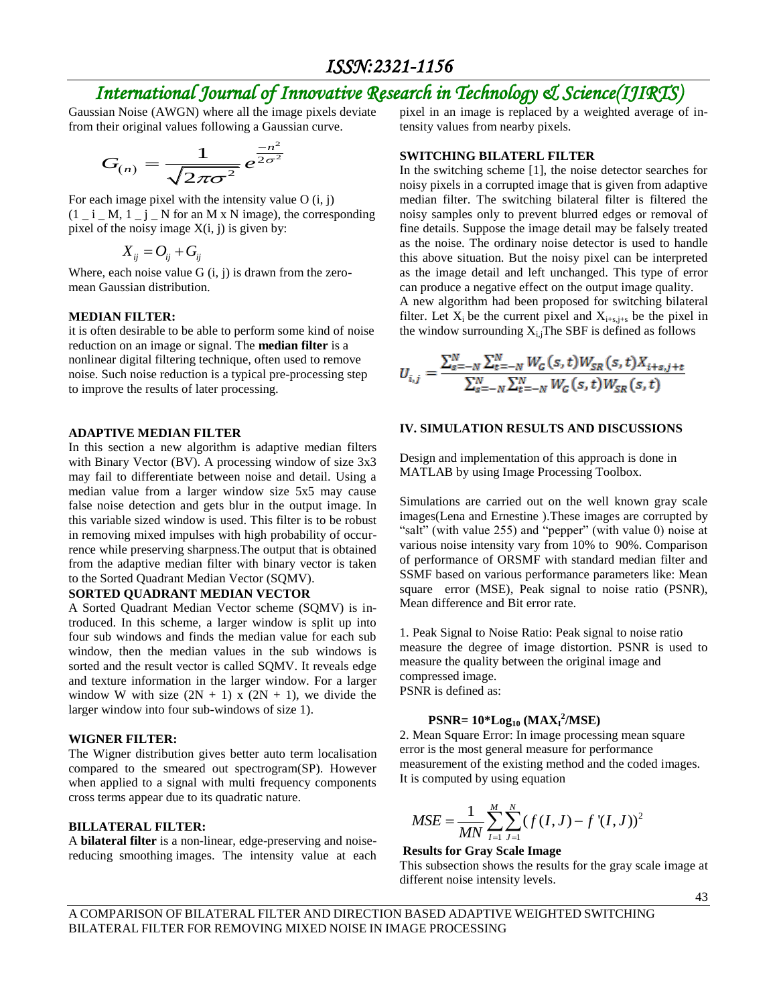# *International Journal of Innovative Research in Technology & Science(IJIRTS)*

Gaussian Noise (AWGN) where all the image pixels deviate from their original values following a Gaussian curve.

$$
G_{(n)} = \frac{1}{\sqrt{2\pi\sigma^2}} e^{\frac{-n^2}{2\sigma^2}}
$$

For each image pixel with the intensity value  $O(i, j)$  $(1 - i - M, 1 - j - N$  for an M x N image), the corresponding pixel of the noisy image  $X(i, j)$  is given by:

$$
X_{ij} = O_{ij} + G_{ij}
$$

Where, each noise value  $G(i, j)$  is drawn from the zeromean Gaussian distribution.

#### **MEDIAN FILTER:**

it is often desirable to be able to perform some kind of noise reduction on an image or signal. The **median filter** is a nonlinear digital filtering technique, often used to remove noise. Such noise reduction is a typical pre-processing step to improve the results of later processing.

#### **ADAPTIVE MEDIAN FILTER**

In this section a new algorithm is adaptive median filters with Binary Vector (BV). A processing window of size 3x3 may fail to differentiate between noise and detail. Using a median value from a larger window size 5x5 may cause false noise detection and gets blur in the output image. In this variable sized window is used. This filter is to be robust in removing mixed impulses with high probability of occurrence while preserving sharpness.The output that is obtained from the adaptive median filter with binary vector is taken to the Sorted Quadrant Median Vector (SQMV).

#### **SORTED QUADRANT MEDIAN VECTOR**

A Sorted Quadrant Median Vector scheme (SQMV) is introduced. In this scheme, a larger window is split up into four sub windows and finds the median value for each sub window, then the median values in the sub windows is sorted and the result vector is called SQMV. It reveals edge and texture information in the larger window. For a larger window W with size  $(2N + 1)$  x  $(2N + 1)$ , we divide the larger window into four sub-windows of size 1).

#### **WIGNER FILTER:**

The Wigner distribution gives better auto term localisation compared to the smeared out spectrogram(SP). However when applied to a signal with multi frequency components cross terms appear due to its quadratic nature.

#### **BILLATERAL FILTER:**

A **bilateral filter** is a non-linear, edge-preserving and noisereducing smoothing images. The intensity value at each pixel in an image is replaced by a weighted average of intensity values from nearby pixels.

#### **SWITCHING BILATERL FILTER**

In the switching scheme [1], the noise detector searches for noisy pixels in a corrupted image that is given from adaptive median filter. The switching bilateral filter is filtered the noisy samples only to prevent blurred edges or removal of fine details. Suppose the image detail may be falsely treated as the noise. The ordinary noise detector is used to handle this above situation. But the noisy pixel can be interpreted as the image detail and left unchanged. This type of error can produce a negative effect on the output image quality. A new algorithm had been proposed for switching bilateral filter. Let  $X_i$  be the current pixel and  $X_{i+s,i+s}$  be the pixel in the window surrounding  $X_{i,j}$ The SBF is defined as follows

$$
U_{i,j} = \frac{\sum_{s=-N}^{N} \sum_{t=-N}^{N} W_G(s,t) W_{SR}(s,t) X_{i+s,j+t}}{\sum_{s=-N}^{N} \sum_{t=-N}^{N} W_G(s,t) W_{SR}(s,t)}
$$

#### **IV. SIMULATION RESULTS AND DISCUSSIONS**

Design and implementation of this approach is done in MATLAB by using Image Processing Toolbox.

Simulations are carried out on the well known gray scale images(Lena and Ernestine ).These images are corrupted by "salt" (with value 255) and "pepper" (with value 0) noise at various noise intensity vary from 10% to 90%. Comparison of performance of ORSMF with standard median filter and SSMF based on various performance parameters like: Mean square error (MSE), Peak signal to noise ratio (PSNR), Mean difference and Bit error rate.

1. Peak Signal to Noise Ratio: Peak signal to noise ratio measure the degree of image distortion. PSNR is used to measure the quality between the original image and compressed image. PSNR is defined as:

# **PSNR=**  $10*Log_{10} (MAX<sub>I</sub><sup>2</sup>/MSE)$

2. Mean Square Error: In image processing mean square error is the most general measure for performance measurement of the existing method and the coded images. It is computed by using equation

$$
MSE = \frac{1}{MN} \sum_{I=1}^{M} \sum_{J=1}^{N} (f(I, J) - f'(I, J))^2
$$

#### **Results for Gray Scale Image**

This subsection shows the results for the gray scale image at different noise intensity levels.

A COMPARISON OF BILATERAL FILTER AND DIRECTION BASED ADAPTIVE WEIGHTED SWITCHING BILATERAL FILTER FOR REMOVING MIXED NOISE IN IMAGE PROCESSING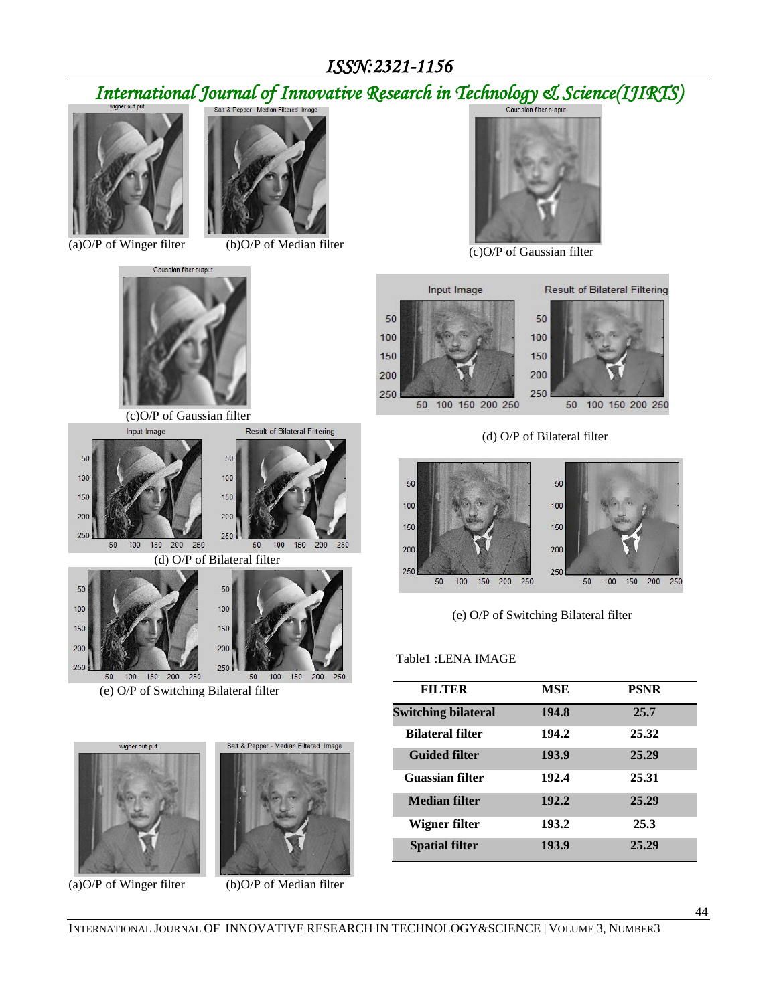# *International Journal of Innovative Research in Technology & Science(IJIRTS)*



(a) $O/P$  of Winger filter (b) $O/P$  of Median filter



 (c)O/P of Gaussian filter Result of Bilateral Filtering







(e) O/P of Switching Bilateral filter





(a)O/P of Winger filter (b)O/P of Median filter



(c)O/P of Gaussian filter





(d) O/P of Bilateral filter





(e) O/P of Switching Bilateral filter

#### Table1 :LENA IMAGE

| <b>FILTER</b>              | <b>MSE</b> | <b>PSNR</b> |
|----------------------------|------------|-------------|
| <b>Switching bilateral</b> | 194.8      | 25.7        |
| <b>Bilateral filter</b>    | 194.2      | 25.32       |
| <b>Guided filter</b>       | 193.9      | 25.29       |
| <b>Guassian filter</b>     | 192.4      | 25.31       |
| <b>Median filter</b>       | 192.2      | 25.29       |
| Wigner filter              | 193.2      | 25.3        |
| <b>Spatial filter</b>      | 193.9      | 25.29       |